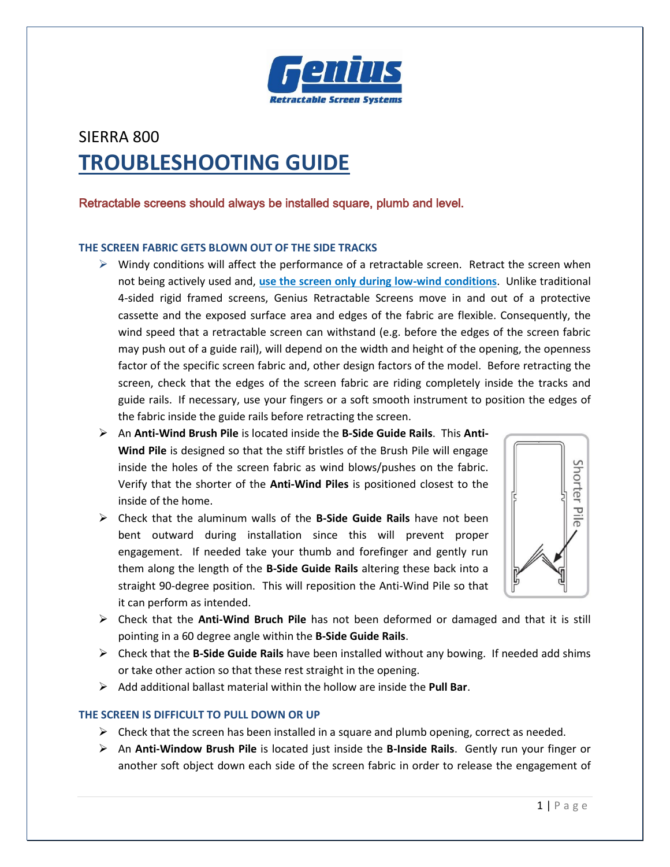

# SIERRA 800 **TROUBLESHOOTING GUIDE**

# Retractable screens should always be installed square, plumb and level.

# **THE SCREEN FABRIC GETS BLOWN OUT OF THE SIDE TRACKS**

- $\triangleright$  Windy conditions will affect the performance of a retractable screen. Retract the screen when not being actively used and, **use the screen only during low-wind conditions**. Unlike traditional 4-sided rigid framed screens, Genius Retractable Screens move in and out of a protective cassette and the exposed surface area and edges of the fabric are flexible. Consequently, the wind speed that a retractable screen can withstand (e.g. before the edges of the screen fabric may push out of a guide rail), will depend on the width and height of the opening, the openness factor of the specific screen fabric and, other design factors of the model. Before retracting the screen, check that the edges of the screen fabric are riding completely inside the tracks and guide rails. If necessary, use your fingers or a soft smooth instrument to position the edges of the fabric inside the guide rails before retracting the screen.
- An **Anti-Wind Brush Pile** is located inside the **B-Side Guide Rails**. This **Anti-Wind Pile** is designed so that the stiff bristles of the Brush Pile will engage inside the holes of the screen fabric as wind blows/pushes on the fabric. Verify that the shorter of the **Anti-Wind Piles** is positioned closest to the inside of the home.
- Check that the aluminum walls of the **B-Side Guide Rails** have not been bent outward during installation since this will prevent proper engagement. If needed take your thumb and forefinger and gently run them along the length of the **B-Side Guide Rails** altering these back into a straight 90-degree position. This will reposition the Anti-Wind Pile so that it can perform as intended.



- Check that the **Anti-Wind Bruch Pile** has not been deformed or damaged and that it is still pointing in a 60 degree angle within the **B-Side Guide Rails**.
- Check that the **B-Side Guide Rails** have been installed without any bowing. If needed add shims or take other action so that these rest straight in the opening.
- Add additional ballast material within the hollow are inside the **Pull Bar**.

# **THE SCREEN IS DIFFICULT TO PULL DOWN OR UP**

- $\triangleright$  Check that the screen has been installed in a square and plumb opening, correct as needed.
- An **Anti-Window Brush Pile** is located just inside the **B-Inside Rails**. Gently run your finger or another soft object down each side of the screen fabric in order to release the engagement of